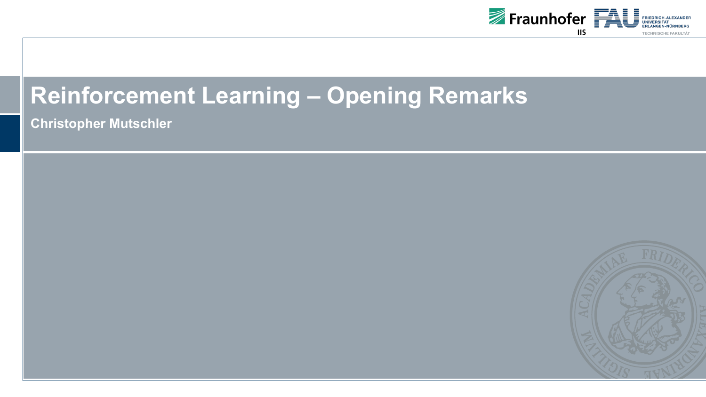

## **Reinforcement Learning – Opening Remarks**

**Christopher Mutschler**

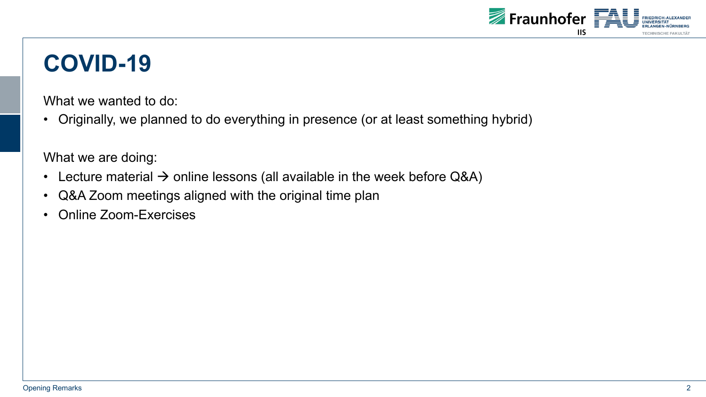

## **COVID-19**

What we wanted to do:

• Originally, we planned to do everything in presence (or at least something hybrid)

What we are doing:

- Lecture material  $\rightarrow$  online lessons (all available in the week before Q&A)
- Q&A Zoom meetings aligned with the original time plan
- Online Zoom-Exercises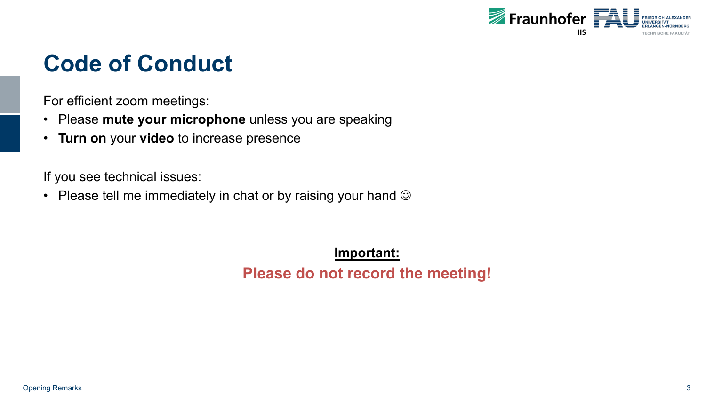

#### **Code of Conduct**

For efficient zoom meetings:

- Please **mute your microphone** unless you are speaking
- **Turn on** your **video** to increase presence

If you see technical issues:

• Please tell me immediately in chat or by raising your hand  $\odot$ 

**Important: Please do not record the meeting!**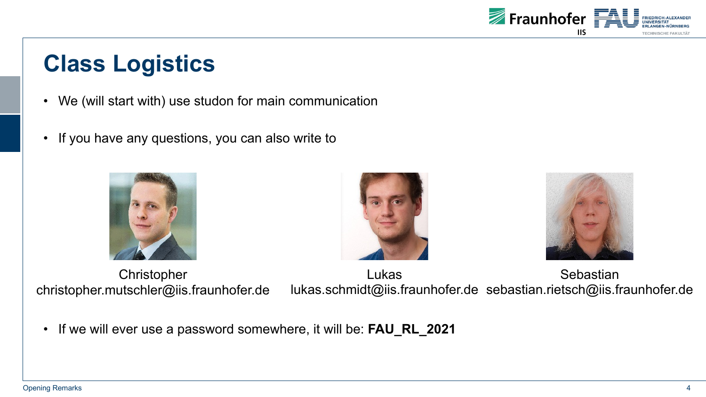

# **Class Logistics**

- We (will start with) use studon for main communication
- If you have any questions, you can also write to







Christopher christopher.mutschler@iis.fraunhofer.de

Lukas lukas.schmidt@iis.fraunhofer.de sebastian.rietsch@iis.fraunhofer.de**Sebastian** 

• If we will ever use a password somewhere, it will be: **FAU\_RL\_2021**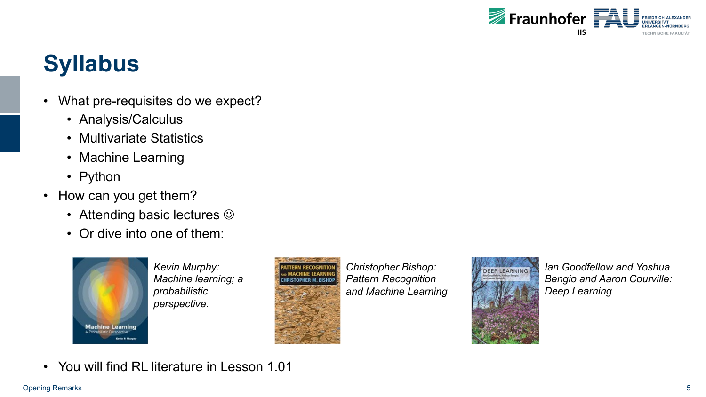

# **Syllabus**

- What pre-requisites do we expect?
	- Analysis/Calculus
	- Multivariate Statistics
	- Machine Learning
	- Python
- How can you get them?
	- Attending basic lectures  $\odot$
	- Or dive into one of them:



*Kevin Murphy: Machine learning; a probabilistic perspective.*



*Christopher Bishop: Pattern Recognition and Machine Learning*



*Ian Goodfellow and Yoshua Bengio and Aaron Courville: Deep Learning*

• You will find RL literature in Lesson 1.01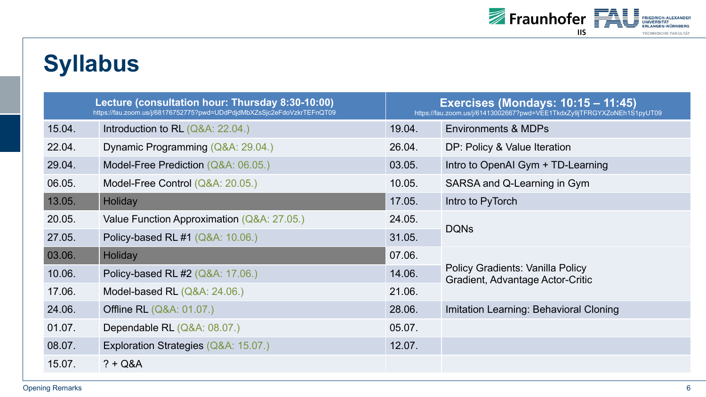

# **Syllabus**

| Lecture (consultation hour: Thursday 8:30-10:00)<br>https://fau.zoom.us/j/68176752775?pwd=UDdPdjdMbXZsSjc2eFdoVzkrTEFnQT09 |                                            | <b>Exercises (Mondays: 10:15 - 11:45)</b><br>https://fau.zoom.us/j/61413002667?pwd=VEE1TkdxZy9jTFRGYXZoNEh1S1pyUT09 |                                                                                    |
|----------------------------------------------------------------------------------------------------------------------------|--------------------------------------------|---------------------------------------------------------------------------------------------------------------------|------------------------------------------------------------------------------------|
| 15.04.                                                                                                                     | Introduction to RL $(Q&A: 22.04.)$         | 19.04.                                                                                                              | <b>Environments &amp; MDPs</b>                                                     |
| 22.04.                                                                                                                     | Dynamic Programming (Q&A: 29.04.)          | 26.04.                                                                                                              | DP: Policy & Value Iteration                                                       |
| 29.04.                                                                                                                     | Model-Free Prediction (Q&A: 06.05.)        | 03.05.                                                                                                              | Intro to OpenAI Gym + TD-Learning                                                  |
| 06.05.                                                                                                                     | Model-Free Control (Q&A: 20.05.)           | 10.05.                                                                                                              | SARSA and Q-Learning in Gym                                                        |
| 13.05.                                                                                                                     | Holiday                                    | 17.05.                                                                                                              | Intro to PyTorch                                                                   |
| 20.05.                                                                                                                     | Value Function Approximation (Q&A: 27.05.) | 24.05.                                                                                                              | <b>DQNs</b>                                                                        |
| 27.05.                                                                                                                     | Policy-based RL #1 (Q&A: 10.06.)           | 31.05.                                                                                                              |                                                                                    |
| 03.06.                                                                                                                     | Holiday                                    | 07.06.                                                                                                              | <b>Policy Gradients: Vanilla Policy</b><br><b>Gradient, Advantage Actor-Critic</b> |
| 10.06.                                                                                                                     | Policy-based RL #2 (Q&A: 17.06.)           | 14.06.                                                                                                              |                                                                                    |
| 17.06.                                                                                                                     | Model-based RL (Q&A: 24.06.)               | 21.06.                                                                                                              |                                                                                    |
| 24.06.                                                                                                                     | <b>Offline RL (Q&amp;A: 01.07.)</b>        | 28.06.                                                                                                              | Imitation Learning: Behavioral Cloning                                             |
| 01.07.                                                                                                                     | Dependable RL (Q&A: 08.07.)                | 05.07.                                                                                                              |                                                                                    |
| 08.07.                                                                                                                     | Exploration Strategies (Q&A: 15.07.)       | 12.07.                                                                                                              |                                                                                    |
| 15.07.                                                                                                                     | $? + Q&A$                                  |                                                                                                                     |                                                                                    |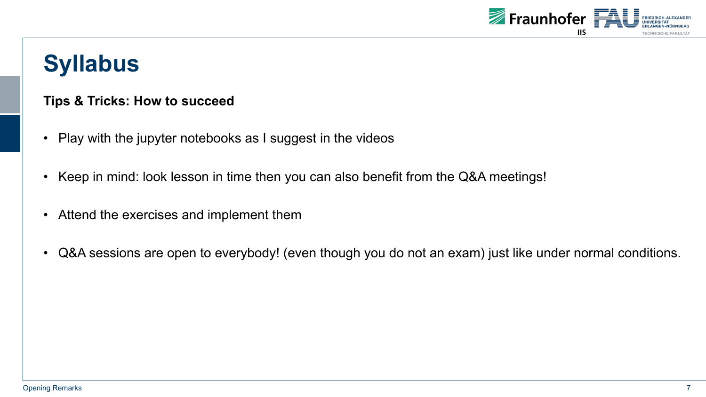

# **Syllabus**

#### **Tips & Tricks: How to succeed**

- Play with the jupyter notebooks as I suggest in the videos
- Keep in mind: look lesson in time then you can also benefit from the Q&A meetings!
- Attend the exercises and implement them
- Q&A sessions are open to everybody! (even though you do not an exam) just like under normal conditions.